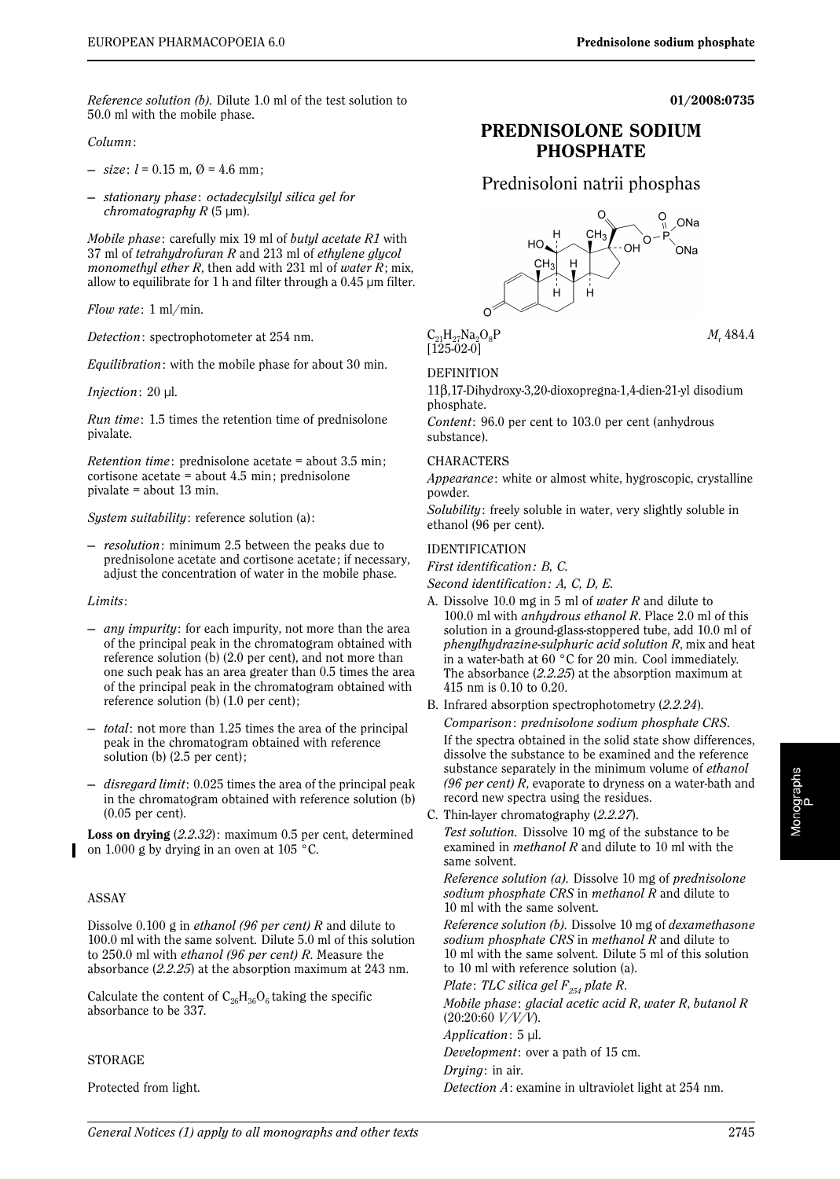**01/2008:0735**

*Reference solution (b)*. Dilute 1.0 ml of the test solution to 50.0 ml with the mobile phase.

### *Column*:

 $-$  *size*:  $l = 0.15$  m,  $\varnothing = 4.6$  mm;

— *stationary phase*: *octadecylsilyl silica gel for chromatography R* (5 µm).

*Mobile phase*: carefully mix 19 ml of *butyl acetate R1* with 37 ml of *tetrahydrofuran R* and 213 ml of *ethylene glycol monomethyl ether R*, then add with 231 ml of *water R*; mix, allow to equilibrate for 1 h and filter through a  $0.45$  µm filter.

*Flow rate*: 1 ml/min.

*Detection*: spectrophotometer at 254 nm.

*Equilibration*: with the mobile phase for about 30 min.

#### *Injection*: 20 µl.

*Run time*: 1.5 times the retention time of prednisolone pivalate.

*Retention time*: prednisolone acetate = about 3.5 min; cortisone acetate = about 4.5 min; prednisolone pivalate = about 13 min.

*System suitability*: reference solution (a) :

— *resolution*: minimum 2.5 between the peaks due to prednisolone acetate and cortisone acetate; if necessary, adjust the concentration of water in the mobile phase.

*Limits*:

- *any impurity*: for each impurity, not more than the area of the principal peak in the chromatogram obtained with reference solution (b) (2.0 per cent), and not more than one such peak has an area greater than 0.5 times the area of the principal peak in the chromatogram obtained with reference solution (b) (1.0 per cent);
- *total*: not more than 1.25 times the area of the principal peak in the chromatogram obtained with reference solution (b) (2.5 per cent);
- *disregard limit*: 0.025 times the area of the principal peak in the chromatogram obtained with reference solution (b) (0.05 per cent).

**Loss on drying** (*2.2.32*): maximum 0.5 per cent, determined on 1.000 g by drying in an oven at 105 °C.

## ASSAY

Dissolve 0.100 g in *ethanol (96 per cent) R* and dilute to 100.0 ml with the same solvent. Dilute 5.0 ml of this solution to 250.0 ml with *ethanol (96 per cent) R*. Measure the absorbance (*2.2.25*) at the absorption maximum at 243 nm.

Calculate the content of  $C_{26}H_{26}O_6$  taking the specific absorbance to be 337.

STORAGE

Protected from light.



**PREDNISOLONE SODIUM PHOSPHATE**

 $C_{21}H_{27}Na_2O_8P$  *M<sub>r</sub>* 484.4  $[125-02-0]$ 

## DEFINITION

11β,17-Dihydroxy-3,20-dioxopregna-1,4-dien-21-yl disodium phosphate.

*Content*: 96.0 per cent to 103.0 per cent (anhydrous substance).

### CHARACTERS

*Appearance*: white or almost white, hygroscopic, crystalline powder.

*Solubility*: freely soluble in water, very slightly soluble in ethanol (96 per cent).

#### IDENTIFICATION

*First identification: B, C.*

*Second identification: A, C, D, E.*

- A. Dissolve 10.0 mg in 5 ml of *water R* and dilute to 100.0 ml with *anhydrous ethanol R*. Place 2.0 ml of this solution in a ground-glass-stoppered tube, add 10.0 ml of *phenylhydrazine-sulphuric acid solution R*, mix and heat in a water-bath at 60 °C for 20 min. Cool immediately. The absorbance (*2.2.25*) at the absorption maximum at 415 nm is 0.10 to 0.20.
- B. Infrared absorption spectrophotometry (*2.2.24*). *Comparison*: *prednisolone sodium phosphate CRS*.

If the spectra obtained in the solid state show differences, dissolve the substance to be examined and the reference substance separately in the minimum volume of *ethanol (96 per cent) R*, evaporate to dryness on a water-bath and record new spectra using the residues.

C. Thin-layer chromatography (*2.2.27*).

*Test solution.* Dissolve 10 mg of the substance to be examined in *methanol R* and dilute to 10 ml with the same solvent.

*Reference solution (a)*. Dissolve 10 mg of *prednisolone sodium phosphate CRS* in *methanol R* and dilute to 10 ml with the same solvent.

*Reference solution (b)*. Dissolve 10 mg of *dexamethasone sodium phosphate CRS* in *methanol R* and dilute to 10 ml with the same solvent. Dilute 5 ml of this solution to 10 ml with reference solution (a).

*Plate: TLC silica gel F*<sub>254</sub> *plate R.* 

*Mobile phase* : *glacial acetic acid R*, *water R*, *butanol R* (20:20:60 *V/V/V*).

*Application*: 5 µl.

*Development*: over a path of 15 cm.

*Drying*: in air.

*Detection A*: examine in ultraviolet light at 254 nm.